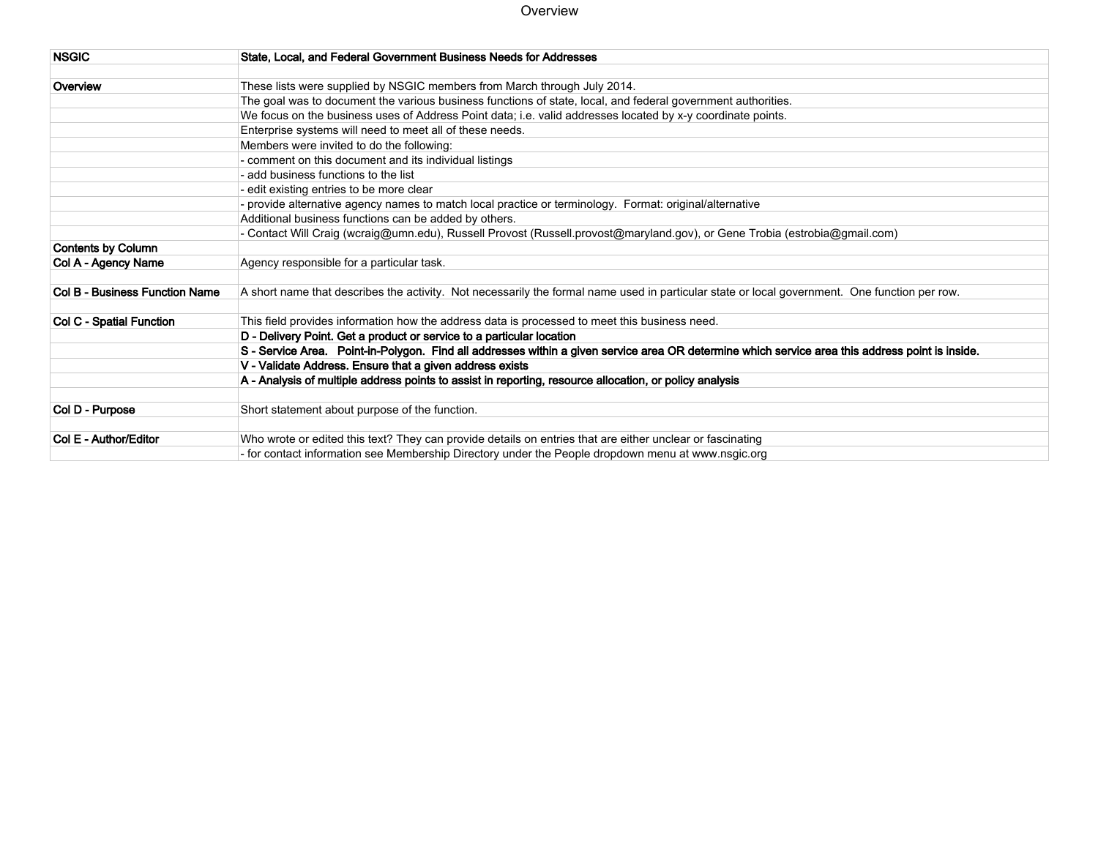#### Overview

| <b>NSGIC</b>                   | State, Local, and Federal Government Business Needs for Addresses                                                                                |
|--------------------------------|--------------------------------------------------------------------------------------------------------------------------------------------------|
|                                |                                                                                                                                                  |
| Overview                       | These lists were supplied by NSGIC members from March through July 2014.                                                                         |
|                                | The goal was to document the various business functions of state, local, and federal government authorities.                                     |
|                                | We focus on the business uses of Address Point data; i.e. valid addresses located by x-y coordinate points.                                      |
|                                | Enterprise systems will need to meet all of these needs.                                                                                         |
|                                | Members were invited to do the following:                                                                                                        |
|                                | - comment on this document and its individual listings                                                                                           |
|                                | - add business functions to the list                                                                                                             |
|                                | - edit existing entries to be more clear                                                                                                         |
|                                | - provide alternative agency names to match local practice or terminology. Format: original/alternative                                          |
|                                | Additional business functions can be added by others.                                                                                            |
|                                | - Contact Will Craig (wcraig@umn.edu), Russell Provost (Russell.provost@maryland.gov), or Gene Trobia (estrobia@gmail.com)                       |
| <b>Contents by Column</b>      |                                                                                                                                                  |
| Col A - Agency Name            | Agency responsible for a particular task.                                                                                                        |
|                                |                                                                                                                                                  |
| Col B - Business Function Name | A short name that describes the activity. Not necessarily the formal name used in particular state or local government. One function per row.    |
|                                |                                                                                                                                                  |
| Col C - Spatial Function       | This field provides information how the address data is processed to meet this business need.                                                    |
|                                | D - Delivery Point. Get a product or service to a particular location                                                                            |
|                                | S - Service Area. Point-in-Polygon. Find all addresses within a given service area OR determine which service area this address point is inside. |
|                                | V - Validate Address. Ensure that a given address exists                                                                                         |
|                                | A - Analysis of multiple address points to assist in reporting, resource allocation, or policy analysis                                          |
|                                |                                                                                                                                                  |
| Col D - Purpose                | Short statement about purpose of the function.                                                                                                   |
|                                |                                                                                                                                                  |
| Col E - Author/Editor          | Who wrote or edited this text? They can provide details on entries that are either unclear or fascinating                                        |
|                                | - for contact information see Membership Directory under the People dropdown menu at www.nsgic.org                                               |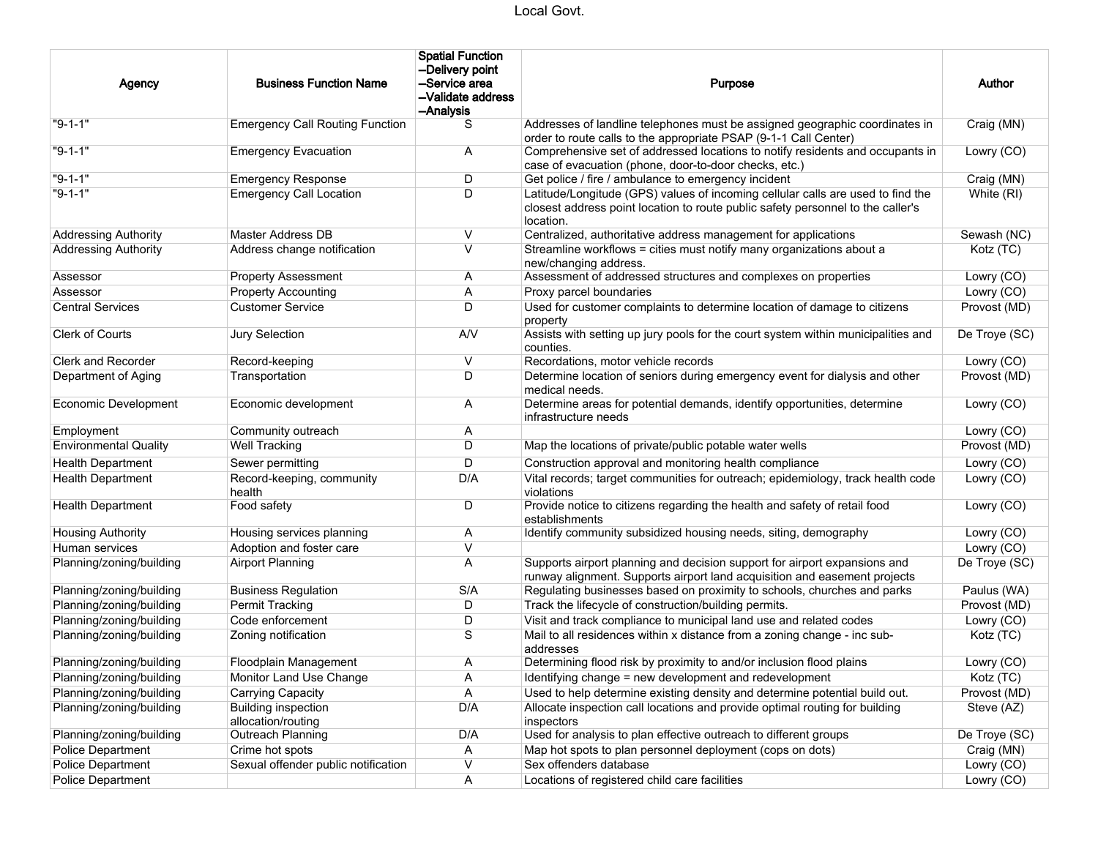| Agency                       | <b>Business Function Name</b>                    | <b>Spatial Function</b><br>--Delivery point<br>--Service area<br>-Validate address<br>--Analysis | Purpose                                                                                                                                                                         | Author        |
|------------------------------|--------------------------------------------------|--------------------------------------------------------------------------------------------------|---------------------------------------------------------------------------------------------------------------------------------------------------------------------------------|---------------|
| "9-1-1"                      | <b>Emergency Call Routing Function</b>           | S                                                                                                | Addresses of landline telephones must be assigned geographic coordinates in<br>order to route calls to the appropriate PSAP (9-1-1 Call Center)                                 | Craig (MN)    |
| $"9-1-1"$                    | <b>Emergency Evacuation</b>                      | Α                                                                                                | Comprehensive set of addressed locations to notify residents and occupants in<br>case of evacuation (phone, door-to-door checks, etc.)                                          | Lowry (CO)    |
| $"9-1-1"$                    | <b>Emergency Response</b>                        | D                                                                                                | Get police / fire / ambulance to emergency incident                                                                                                                             | Craig (MN)    |
| $"9-1-1"$                    | <b>Emergency Call Location</b>                   | D                                                                                                | Latitude/Longitude (GPS) values of incoming cellular calls are used to find the<br>closest address point location to route public safety personnel to the caller's<br>location. | White (RI)    |
| <b>Addressing Authority</b>  | Master Address DB                                | V                                                                                                | Centralized, authoritative address management for applications                                                                                                                  | Sewash (NC)   |
| <b>Addressing Authority</b>  | Address change notification                      | $\vee$                                                                                           | Streamline workflows = cities must notify many organizations about a<br>new/changing address.                                                                                   | Kotz (TC)     |
| Assessor                     | <b>Property Assessment</b>                       | Α                                                                                                | Assessment of addressed structures and complexes on properties                                                                                                                  | Lowry (CO)    |
| Assessor                     | <b>Property Accounting</b>                       | Α                                                                                                | Proxy parcel boundaries                                                                                                                                                         | Lowry (CO)    |
| <b>Central Services</b>      | <b>Customer Service</b>                          | D                                                                                                | Used for customer complaints to determine location of damage to citizens<br>property                                                                                            | Provost (MD)  |
| Clerk of Courts              | Jury Selection                                   | A/V                                                                                              | Assists with setting up jury pools for the court system within municipalities and<br>counties.                                                                                  | De Troye (SC) |
| <b>Clerk and Recorder</b>    | Record-keeping                                   | V                                                                                                | Recordations, motor vehicle records                                                                                                                                             | Lowry (CO)    |
| Department of Aging          | Transportation                                   | D                                                                                                | Determine location of seniors during emergency event for dialysis and other<br>medical needs.                                                                                   | Provost (MD)  |
| <b>Economic Development</b>  | Economic development                             | Α                                                                                                | Determine areas for potential demands, identify opportunities, determine<br>infrastructure needs                                                                                | Lowry (CO)    |
| Employment                   | Community outreach                               | Α                                                                                                |                                                                                                                                                                                 | Lowry (CO)    |
| <b>Environmental Quality</b> | Well Tracking                                    | D                                                                                                | Map the locations of private/public potable water wells                                                                                                                         | Provost (MD)  |
| <b>Health Department</b>     | Sewer permitting                                 | D                                                                                                | Construction approval and monitoring health compliance                                                                                                                          | Lowry (CO)    |
| <b>Health Department</b>     | Record-keeping, community<br>health              | D/A                                                                                              | Vital records; target communities for outreach; epidemiology, track health code<br>violations                                                                                   | Lowry (CO)    |
| <b>Health Department</b>     | Food safety                                      | D                                                                                                | Provide notice to citizens regarding the health and safety of retail food<br>establishments                                                                                     | Lowry (CO)    |
| <b>Housing Authority</b>     | Housing services planning                        | Α                                                                                                | Identify community subsidized housing needs, siting, demography                                                                                                                 | Lowry (CO)    |
| Human services               | Adoption and foster care                         | $\vee$                                                                                           |                                                                                                                                                                                 | Lowry (CO)    |
| Planning/zoning/building     | <b>Airport Planning</b>                          | Α                                                                                                | Supports airport planning and decision support for airport expansions and<br>runway alignment. Supports airport land acquisition and easement projects                          | De Troye (SC) |
| Planning/zoning/building     | <b>Business Regulation</b>                       | S/A                                                                                              | Regulating businesses based on proximity to schools, churches and parks                                                                                                         | Paulus (WA)   |
| Planning/zoning/building     | Permit Tracking                                  | D                                                                                                | Track the lifecycle of construction/building permits.                                                                                                                           | Provost (MD)  |
| Planning/zoning/building     | Code enforcement                                 | D                                                                                                | Visit and track compliance to municipal land use and related codes                                                                                                              | Lowry (CO)    |
| Planning/zoning/building     | Zoning notification                              | S                                                                                                | Mail to all residences within x distance from a zoning change - inc sub-<br>addresses                                                                                           | Kotz (TC)     |
| Planning/zoning/building     | Floodplain Management                            | Α                                                                                                | Determining flood risk by proximity to and/or inclusion flood plains                                                                                                            | Lowry (CO)    |
| Planning/zoning/building     | Monitor Land Use Change                          | A                                                                                                | Identifying change = new development and redevelopment                                                                                                                          | Kotz (TC)     |
| Planning/zoning/building     | Carrying Capacity                                | Α                                                                                                | Used to help determine existing density and determine potential build out.                                                                                                      | Provost (MD)  |
| Planning/zoning/building     | <b>Building inspection</b><br>allocation/routing | D/A                                                                                              | Allocate inspection call locations and provide optimal routing for building<br>inspectors                                                                                       | Steve (AZ)    |
| Planning/zoning/building     | Outreach Planning                                | D/A                                                                                              | Used for analysis to plan effective outreach to different groups                                                                                                                | De Troye (SC) |
| Police Department            | Crime hot spots                                  | A                                                                                                | Map hot spots to plan personnel deployment (cops on dots)                                                                                                                       | Craig (MN)    |
| <b>Police Department</b>     | Sexual offender public notification              | V                                                                                                | Sex offenders database                                                                                                                                                          | Lowry (CO)    |
| <b>Police Department</b>     |                                                  | Α                                                                                                | Locations of registered child care facilities                                                                                                                                   | Lowry (CO)    |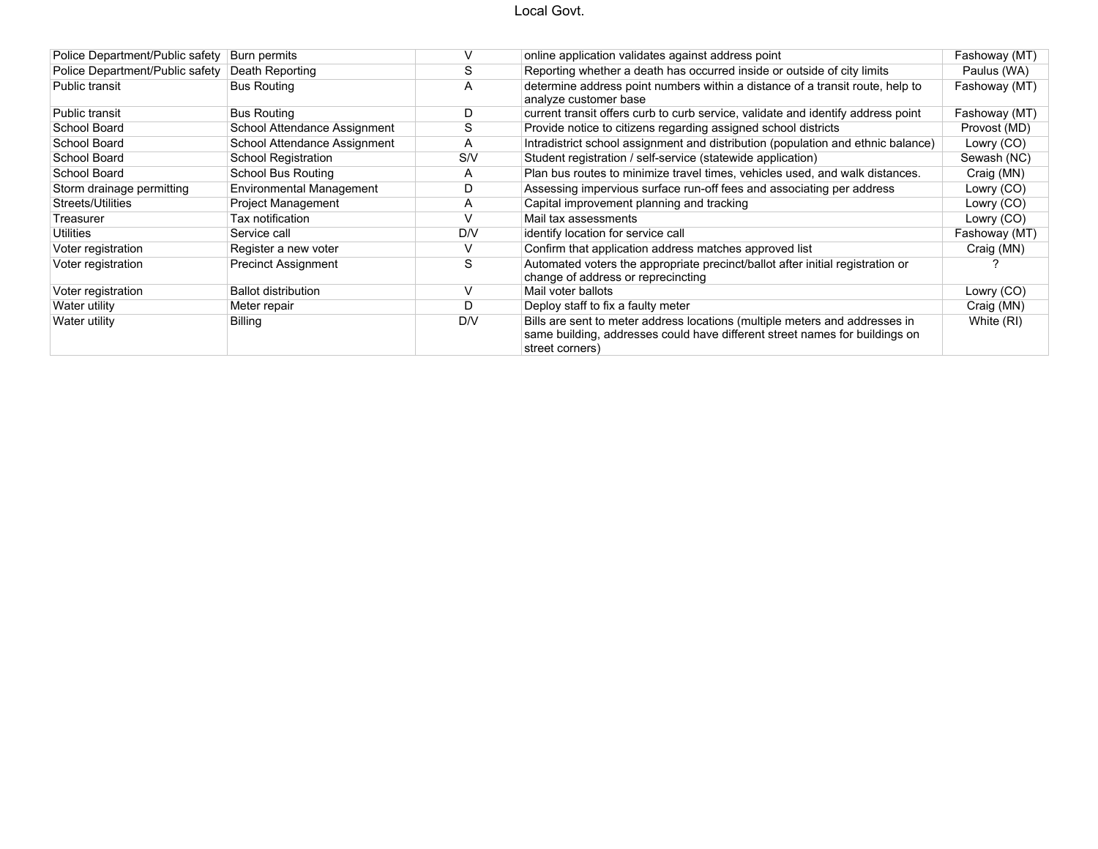### Local Govt.

| Police Department/Public safety | Burn permits                 |     | online application validates against address point                                                                                                                            | Fashoway (MT) |
|---------------------------------|------------------------------|-----|-------------------------------------------------------------------------------------------------------------------------------------------------------------------------------|---------------|
| Police Department/Public safety | Death Reporting              |     | Reporting whether a death has occurred inside or outside of city limits                                                                                                       | Paulus (WA)   |
| Public transit                  | <b>Bus Routing</b>           | A   | determine address point numbers within a distance of a transit route, help to<br>analyze customer base                                                                        | Fashoway (MT) |
| Public transit                  | <b>Bus Routing</b>           |     | current transit offers curb to curb service, validate and identify address point                                                                                              | Fashoway (MT) |
| School Board                    | School Attendance Assignment | C   | Provide notice to citizens regarding assigned school districts                                                                                                                | Provost (MD)  |
| School Board                    | School Attendance Assignment | A   | Intradistrict school assignment and distribution (population and ethnic balance)                                                                                              | Lowry (CO)    |
| School Board                    | <b>School Registration</b>   | S/V | Student registration / self-service (statewide application)                                                                                                                   | Sewash (NC)   |
| School Board                    | School Bus Routing           | A   | Plan bus routes to minimize travel times, vehicles used, and walk distances.                                                                                                  | Craig (MN)    |
| Storm drainage permitting       | Environmental Management     | D   | Assessing impervious surface run-off fees and associating per address                                                                                                         | Lowry (CO)    |
| Streets/Utilities               | <b>Project Management</b>    | A   | Capital improvement planning and tracking                                                                                                                                     | Lowry (CO)    |
| Treasurer                       | Tax notification             |     | Mail tax assessments                                                                                                                                                          | Lowry (CO)    |
| Utilities                       | Service call                 | D/V | identify location for service call                                                                                                                                            | Fashoway (MT) |
| Voter registration              | Register a new voter         | V   | Confirm that application address matches approved list                                                                                                                        | Craig (MN)    |
| Voter registration              | <b>Precinct Assignment</b>   | S   | Automated voters the appropriate precinct/ballot after initial registration or<br>change of address or reprecincting                                                          |               |
| Voter registration              | <b>Ballot distribution</b>   |     | Mail voter ballots                                                                                                                                                            | Lowry (CO)    |
| Water utility                   | Meter repair                 |     | Deploy staff to fix a faulty meter                                                                                                                                            | Craig (MN)    |
| Water utility                   | <b>Billing</b>               | D/V | Bills are sent to meter address locations (multiple meters and addresses in<br>same building, addresses could have different street names for buildings on<br>street corners) | White (RI)    |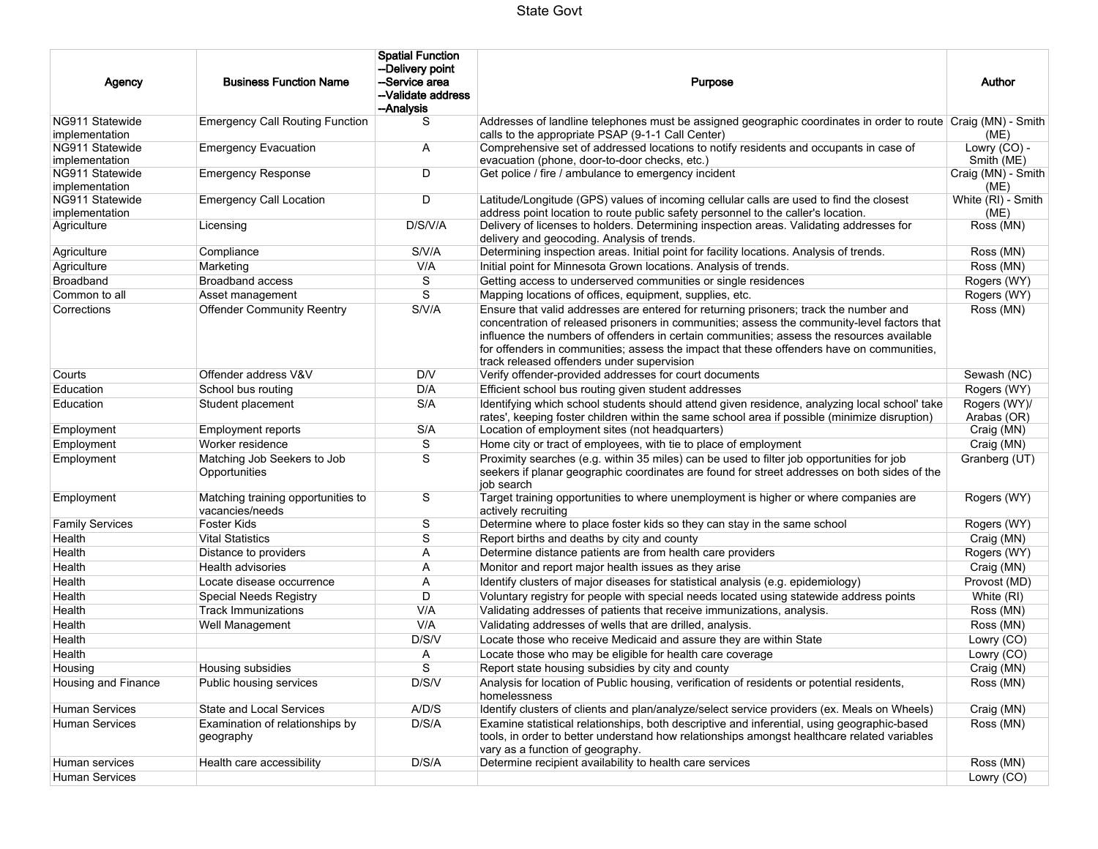| Agency                            | <b>Business Function Name</b>                         | <b>Spatial Function</b><br>--Delivery point<br>-Service area<br>--Validate address<br>--Analysis | Purpose                                                                                                                                                                                                                                                                                                                                                                                                                      | Author                      |
|-----------------------------------|-------------------------------------------------------|--------------------------------------------------------------------------------------------------|------------------------------------------------------------------------------------------------------------------------------------------------------------------------------------------------------------------------------------------------------------------------------------------------------------------------------------------------------------------------------------------------------------------------------|-----------------------------|
| NG911 Statewide<br>implementation | <b>Emergency Call Routing Function</b>                | S                                                                                                | Addresses of landline telephones must be assigned geographic coordinates in order to route Craig (MN) - Smith<br>calls to the appropriate PSAP (9-1-1 Call Center)                                                                                                                                                                                                                                                           | (ME)                        |
| NG911 Statewide<br>implementation | <b>Emergency Evacuation</b>                           | A                                                                                                | Comprehensive set of addressed locations to notify residents and occupants in case of<br>evacuation (phone, door-to-door checks, etc.)                                                                                                                                                                                                                                                                                       | Lowry (CO) -<br>Smith (ME)  |
| NG911 Statewide<br>implementation | <b>Emergency Response</b>                             | D                                                                                                | Get police / fire / ambulance to emergency incident                                                                                                                                                                                                                                                                                                                                                                          | Craig (MN) - Smith<br>(ME)  |
| NG911 Statewide<br>implementation | <b>Emergency Call Location</b>                        | D                                                                                                | Latitude/Longitude (GPS) values of incoming cellular calls are used to find the closest<br>address point location to route public safety personnel to the caller's location.                                                                                                                                                                                                                                                 | White (RI) - Smith<br>(ME)  |
| Agriculture                       | Licensing                                             | D/S/V/A                                                                                          | Delivery of licenses to holders. Determining inspection areas. Validating addresses for<br>delivery and geocoding. Analysis of trends.                                                                                                                                                                                                                                                                                       | Ross (MN)                   |
| Agriculture                       | Compliance                                            | S/V/A                                                                                            | Determining inspection areas. Initial point for facility locations. Analysis of trends.                                                                                                                                                                                                                                                                                                                                      | Ross (MN)                   |
| Agriculture                       | Marketing                                             | V/A                                                                                              | Initial point for Minnesota Grown locations. Analysis of trends.                                                                                                                                                                                                                                                                                                                                                             | Ross (MN)                   |
| <b>Broadband</b>                  | <b>Broadband access</b>                               | S                                                                                                | Getting access to underserved communities or single residences                                                                                                                                                                                                                                                                                                                                                               | Rogers (WY)                 |
| Common to all                     | Asset management                                      | S                                                                                                | Mapping locations of offices, equipment, supplies, etc.                                                                                                                                                                                                                                                                                                                                                                      | Rogers (WY)                 |
| Corrections                       | <b>Offender Community Reentry</b>                     | S/V/A                                                                                            | Ensure that valid addresses are entered for returning prisoners; track the number and<br>concentration of released prisoners in communities; assess the community-level factors that<br>influence the numbers of offenders in certain communities; assess the resources available<br>for offenders in communities; assess the impact that these offenders have on communities,<br>track released offenders under supervision | Ross (MN)                   |
| Courts                            | Offender address V&V                                  | D/V                                                                                              | Verify offender-provided addresses for court documents                                                                                                                                                                                                                                                                                                                                                                       | Sewash (NC)                 |
| Education                         | School bus routing                                    | D/A                                                                                              | Efficient school bus routing given student addresses                                                                                                                                                                                                                                                                                                                                                                         | Rogers (WY)                 |
| Education                         | Student placement                                     | S/A                                                                                              | Identifying which school students should attend given residence, analyzing local school' take<br>rates', keeping foster children within the same school area if possible (minimize disruption)                                                                                                                                                                                                                               | Rogers (WY)/<br>Arabas (OR) |
| Employment                        | Employment reports                                    | S/A                                                                                              | Location of employment sites (not headquarters)                                                                                                                                                                                                                                                                                                                                                                              | Craig (MN)                  |
| Employment                        | Worker residence                                      | S                                                                                                | Home city or tract of employees, with tie to place of employment                                                                                                                                                                                                                                                                                                                                                             | Craig (MN)                  |
| Employment                        | Matching Job Seekers to Job<br>Opportunities          | S                                                                                                | Proximity searches (e.g. within 35 miles) can be used to filter job opportunities for job<br>seekers if planar geographic coordinates are found for street addresses on both sides of the<br>job search                                                                                                                                                                                                                      | Granberg (UT)               |
| Employment                        | Matching training opportunities to<br>vacancies/needs | S                                                                                                | Target training opportunities to where unemployment is higher or where companies are<br>actively recruiting                                                                                                                                                                                                                                                                                                                  | Rogers (WY)                 |
| <b>Family Services</b>            | Foster Kids                                           | S                                                                                                | Determine where to place foster kids so they can stay in the same school                                                                                                                                                                                                                                                                                                                                                     | Rogers (WY)                 |
| Health                            | <b>Vital Statistics</b>                               | S                                                                                                | Report births and deaths by city and county                                                                                                                                                                                                                                                                                                                                                                                  | Craig (MN)                  |
| Health                            | Distance to providers                                 | Α                                                                                                | Determine distance patients are from health care providers                                                                                                                                                                                                                                                                                                                                                                   | Rogers (WY)                 |
| Health                            | Health advisories                                     | Α                                                                                                | Monitor and report major health issues as they arise                                                                                                                                                                                                                                                                                                                                                                         | Craig (MN)                  |
| Health                            | Locate disease occurrence                             | Α                                                                                                | Identify clusters of major diseases for statistical analysis (e.g. epidemiology)                                                                                                                                                                                                                                                                                                                                             | Provost (MD)                |
| Health                            | Special Needs Registry                                | D                                                                                                | Voluntary registry for people with special needs located using statewide address points                                                                                                                                                                                                                                                                                                                                      | White (RI)                  |
| Health                            | <b>Track Immunizations</b>                            | V/A                                                                                              | Validating addresses of patients that receive immunizations, analysis.                                                                                                                                                                                                                                                                                                                                                       | Ross (MN)                   |
| Health                            | Well Management                                       | V/A                                                                                              | Validating addresses of wells that are drilled, analysis.                                                                                                                                                                                                                                                                                                                                                                    | Ross (MN)                   |
| Health                            |                                                       | D/S/V                                                                                            | Locate those who receive Medicaid and assure they are within State                                                                                                                                                                                                                                                                                                                                                           | Lowry (CO)                  |
| Health                            |                                                       | Α                                                                                                | Locate those who may be eligible for health care coverage                                                                                                                                                                                                                                                                                                                                                                    | Lowry (CO)                  |
| Housing                           | Housing subsidies                                     | S                                                                                                | Report state housing subsidies by city and county                                                                                                                                                                                                                                                                                                                                                                            | Craig (MN)                  |
| Housing and Finance               | Public housing services                               | D/S/V                                                                                            | Analysis for location of Public housing, verification of residents or potential residents,<br>homelessness                                                                                                                                                                                                                                                                                                                   | Ross (MN)                   |
| <b>Human Services</b>             | State and Local Services                              | A/D/S                                                                                            | Identify clusters of clients and plan/analyze/select service providers (ex. Meals on Wheels)                                                                                                                                                                                                                                                                                                                                 | Craig (MN)                  |
| <b>Human Services</b>             | Examination of relationships by<br>geography          | D/S/A                                                                                            | Examine statistical relationships, both descriptive and inferential, using geographic-based<br>tools, in order to better understand how relationships amongst healthcare related variables<br>vary as a function of geography.                                                                                                                                                                                               | Ross (MN)                   |
| Human services                    | Health care accessibility                             | D/S/A                                                                                            | Determine recipient availability to health care services                                                                                                                                                                                                                                                                                                                                                                     | Ross (MN)                   |
| <b>Human Services</b>             |                                                       |                                                                                                  |                                                                                                                                                                                                                                                                                                                                                                                                                              | Lowry (CO)                  |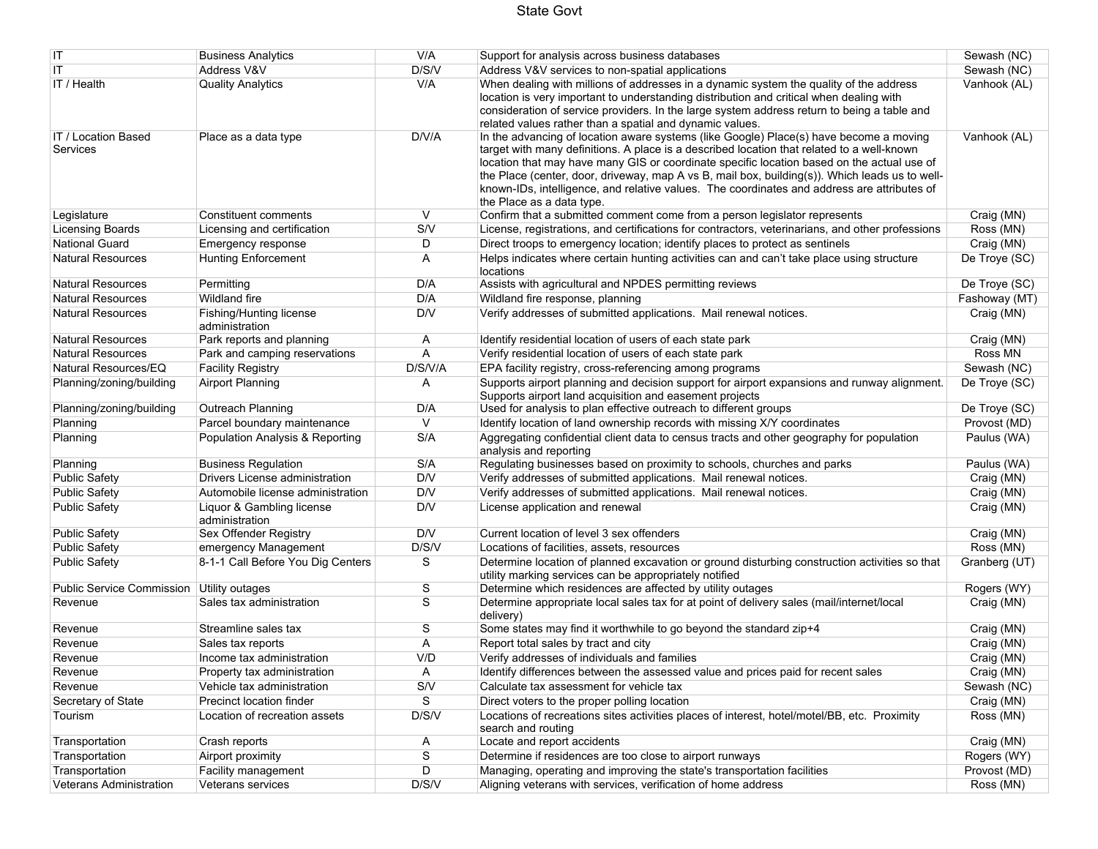### State Govt

| IT                                        | <b>Business Analytics</b>                   | V/A         | Support for analysis across business databases                                                                                                                                                                                                                                                                                                                                                                                                                                                                   | Sewash (NC)   |
|-------------------------------------------|---------------------------------------------|-------------|------------------------------------------------------------------------------------------------------------------------------------------------------------------------------------------------------------------------------------------------------------------------------------------------------------------------------------------------------------------------------------------------------------------------------------------------------------------------------------------------------------------|---------------|
| IT                                        | Address V&V                                 | D/S/V       | Address V&V services to non-spatial applications                                                                                                                                                                                                                                                                                                                                                                                                                                                                 | Sewash (NC)   |
| IT / Health                               | <b>Quality Analytics</b>                    | V/A         | When dealing with millions of addresses in a dynamic system the quality of the address<br>location is very important to understanding distribution and critical when dealing with<br>consideration of service providers. In the large system address return to being a table and<br>related values rather than a spatial and dynamic values.                                                                                                                                                                     | Vanhook (AL)  |
| IT / Location Based<br>Services           | Place as a data type                        | D/V/A       | In the advancing of location aware systems (like Google) Place(s) have become a moving<br>target with many definitions. A place is a described location that related to a well-known<br>location that may have many GIS or coordinate specific location based on the actual use of<br>the Place (center, door, driveway, map A vs B, mail box, building(s)). Which leads us to well-<br>known-IDs, intelligence, and relative values. The coordinates and address are attributes of<br>the Place as a data type. | Vanhook (AL)  |
| Legislature                               | Constituent comments                        | V           | Confirm that a submitted comment come from a person legislator represents                                                                                                                                                                                                                                                                                                                                                                                                                                        | Craig (MN)    |
| <b>Licensing Boards</b>                   | Licensing and certification                 | S/V         | License, registrations, and certifications for contractors, veterinarians, and other professions                                                                                                                                                                                                                                                                                                                                                                                                                 | Ross (MN)     |
| <b>National Guard</b>                     | Emergency response                          | D           | Direct troops to emergency location; identify places to protect as sentinels                                                                                                                                                                                                                                                                                                                                                                                                                                     | Craig (MN)    |
| <b>Natural Resources</b>                  | <b>Hunting Enforcement</b>                  | Α           | Helps indicates where certain hunting activities can and can't take place using structure<br>locations                                                                                                                                                                                                                                                                                                                                                                                                           | De Troye (SC) |
| <b>Natural Resources</b>                  | Permitting                                  | D/A         | Assists with agricultural and NPDES permitting reviews                                                                                                                                                                                                                                                                                                                                                                                                                                                           | De Troye (SC) |
| <b>Natural Resources</b>                  | Wildland fire                               | D/A         | Wildland fire response, planning                                                                                                                                                                                                                                                                                                                                                                                                                                                                                 | Fashoway (MT) |
| <b>Natural Resources</b>                  | Fishing/Hunting license<br>administration   | D/V         | Verify addresses of submitted applications. Mail renewal notices.                                                                                                                                                                                                                                                                                                                                                                                                                                                | Craig (MN)    |
| <b>Natural Resources</b>                  | Park reports and planning                   | A           | Identify residential location of users of each state park                                                                                                                                                                                                                                                                                                                                                                                                                                                        | Craig (MN)    |
| <b>Natural Resources</b>                  | Park and camping reservations               | A           | Verify residential location of users of each state park                                                                                                                                                                                                                                                                                                                                                                                                                                                          | Ross MN       |
| Natural Resources/EQ                      | <b>Facility Registry</b>                    | D/S/V/A     | EPA facility registry, cross-referencing among programs                                                                                                                                                                                                                                                                                                                                                                                                                                                          | Sewash (NC)   |
| Planning/zoning/building                  | <b>Airport Planning</b>                     | A           | Supports airport planning and decision support for airport expansions and runway alignment.<br>Supports airport land acquisition and easement projects                                                                                                                                                                                                                                                                                                                                                           | De Troye (SC) |
| Planning/zoning/building                  | Outreach Planning                           | D/A         | Used for analysis to plan effective outreach to different groups                                                                                                                                                                                                                                                                                                                                                                                                                                                 | De Trove (SC) |
| Planning                                  | Parcel boundary maintenance                 | V           | Identify location of land ownership records with missing X/Y coordinates                                                                                                                                                                                                                                                                                                                                                                                                                                         | Provost (MD)  |
| Planning                                  | Population Analysis & Reporting             | S/A         | Aggregating confidential client data to census tracts and other geography for population<br>analysis and reporting                                                                                                                                                                                                                                                                                                                                                                                               | Paulus (WA)   |
| Planning                                  | <b>Business Regulation</b>                  | S/A         | Regulating businesses based on proximity to schools, churches and parks                                                                                                                                                                                                                                                                                                                                                                                                                                          | Paulus (WA)   |
| <b>Public Safety</b>                      | Drivers License administration              | D/V         | Verify addresses of submitted applications. Mail renewal notices.                                                                                                                                                                                                                                                                                                                                                                                                                                                | Craig (MN)    |
| <b>Public Safety</b>                      | Automobile license administration           | D/V         | Verify addresses of submitted applications. Mail renewal notices.                                                                                                                                                                                                                                                                                                                                                                                                                                                | Craig (MN)    |
| <b>Public Safety</b>                      | Liquor & Gambling license<br>administration | D/V         | License application and renewal                                                                                                                                                                                                                                                                                                                                                                                                                                                                                  | Craig (MN)    |
| <b>Public Safety</b>                      | Sex Offender Registry                       | D/V         | Current location of level 3 sex offenders                                                                                                                                                                                                                                                                                                                                                                                                                                                                        | Craig (MN)    |
| <b>Public Safety</b>                      | emergency Management                        | D/S/V       | Locations of facilities, assets, resources                                                                                                                                                                                                                                                                                                                                                                                                                                                                       | Ross (MN)     |
| <b>Public Safety</b>                      | 8-1-1 Call Before You Dig Centers           | S           | Determine location of planned excavation or ground disturbing construction activities so that<br>utility marking services can be appropriately notified                                                                                                                                                                                                                                                                                                                                                          | Granberg (UT) |
| Public Service Commission Utility outages |                                             | S           | Determine which residences are affected by utility outages                                                                                                                                                                                                                                                                                                                                                                                                                                                       | Rogers (WY)   |
| Revenue                                   | Sales tax administration                    | S           | Determine appropriate local sales tax for at point of delivery sales (mail/internet/local<br>delivery)                                                                                                                                                                                                                                                                                                                                                                                                           | Craig (MN)    |
| Revenue                                   | Streamline sales tax                        | S           | Some states may find it worthwhile to go beyond the standard zip+4                                                                                                                                                                                                                                                                                                                                                                                                                                               | Craig (MN)    |
| Revenue                                   | Sales tax reports                           | A           | Report total sales by tract and city                                                                                                                                                                                                                                                                                                                                                                                                                                                                             | Craig (MN)    |
| Revenue                                   | Income tax administration                   | V/D         | Verify addresses of individuals and families                                                                                                                                                                                                                                                                                                                                                                                                                                                                     | Craig (MN)    |
| Revenue                                   | Property tax administration                 | A           | Identify differences between the assessed value and prices paid for recent sales                                                                                                                                                                                                                                                                                                                                                                                                                                 | Craig (MN)    |
| Revenue                                   | Vehicle tax administration                  | S/V         | Calculate tax assessment for vehicle tax                                                                                                                                                                                                                                                                                                                                                                                                                                                                         | Sewash (NC)   |
| Secretary of State                        | Precinct location finder                    | S           | Direct voters to the proper polling location                                                                                                                                                                                                                                                                                                                                                                                                                                                                     | Craig (MN)    |
| Tourism                                   | Location of recreation assets               | D/S/V       | Locations of recreations sites activities places of interest, hotel/motel/BB, etc. Proximity<br>search and routing                                                                                                                                                                                                                                                                                                                                                                                               | Ross (MN)     |
| Transportation                            | Crash reports                               | A           | Locate and report accidents                                                                                                                                                                                                                                                                                                                                                                                                                                                                                      | Craig (MN)    |
| Transportation                            | Airport proximity                           | $\mathbf S$ | Determine if residences are too close to airport runways                                                                                                                                                                                                                                                                                                                                                                                                                                                         | Rogers (WY)   |
| Transportation                            | Facility management                         | D           | Managing, operating and improving the state's transportation facilities                                                                                                                                                                                                                                                                                                                                                                                                                                          | Provost (MD)  |
| <b>Veterans Administration</b>            | Veterans services                           | D/S/V       | Aligning veterans with services, verification of home address                                                                                                                                                                                                                                                                                                                                                                                                                                                    | Ross (MN)     |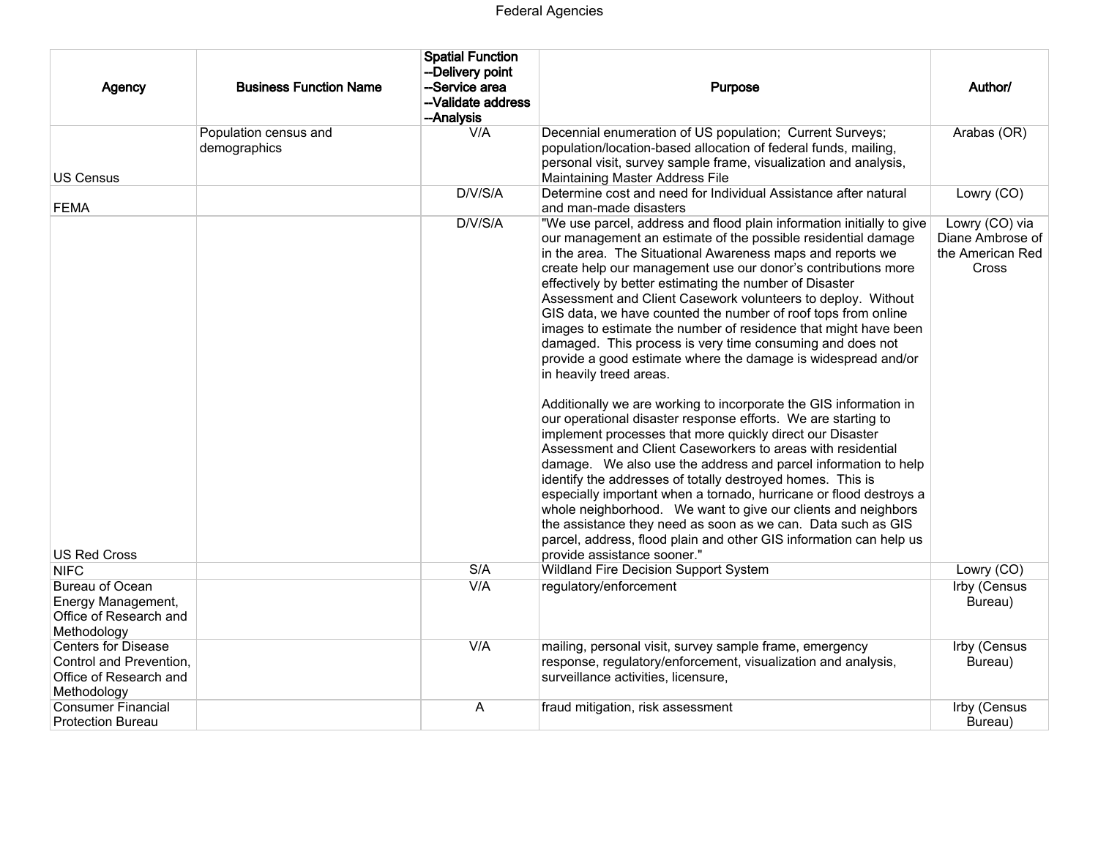| Agency                                                                                         | <b>Business Function Name</b>         | <b>Spatial Function</b><br>--Delivery point<br>-Service area<br>-Validate address<br>--Analysis | <b>Purpose</b>                                                                                                                                                                                                                                                                                                                                                                                                                                                                                                                                                                                                                                                                                                                                                                                                                                                                                                                                                                                                                                                                                                                                                                                                                                                                                                                                                               | Author/                                                         |
|------------------------------------------------------------------------------------------------|---------------------------------------|-------------------------------------------------------------------------------------------------|------------------------------------------------------------------------------------------------------------------------------------------------------------------------------------------------------------------------------------------------------------------------------------------------------------------------------------------------------------------------------------------------------------------------------------------------------------------------------------------------------------------------------------------------------------------------------------------------------------------------------------------------------------------------------------------------------------------------------------------------------------------------------------------------------------------------------------------------------------------------------------------------------------------------------------------------------------------------------------------------------------------------------------------------------------------------------------------------------------------------------------------------------------------------------------------------------------------------------------------------------------------------------------------------------------------------------------------------------------------------------|-----------------------------------------------------------------|
| US Census                                                                                      | Population census and<br>demographics | V/A                                                                                             | Decennial enumeration of US population; Current Surveys;<br>population/location-based allocation of federal funds, mailing,<br>personal visit, survey sample frame, visualization and analysis,<br>Maintaining Master Address File                                                                                                                                                                                                                                                                                                                                                                                                                                                                                                                                                                                                                                                                                                                                                                                                                                                                                                                                                                                                                                                                                                                                           | Arabas (OR)                                                     |
| <b>FEMA</b>                                                                                    |                                       | D/V/S/A                                                                                         | Determine cost and need for Individual Assistance after natural<br>and man-made disasters                                                                                                                                                                                                                                                                                                                                                                                                                                                                                                                                                                                                                                                                                                                                                                                                                                                                                                                                                                                                                                                                                                                                                                                                                                                                                    | Lowry (CO)                                                      |
|                                                                                                |                                       | D/V/S/A                                                                                         | "We use parcel, address and flood plain information initially to give<br>our management an estimate of the possible residential damage<br>in the area. The Situational Awareness maps and reports we<br>create help our management use our donor's contributions more<br>effectively by better estimating the number of Disaster<br>Assessment and Client Casework volunteers to deploy. Without<br>GIS data, we have counted the number of roof tops from online<br>images to estimate the number of residence that might have been<br>damaged. This process is very time consuming and does not<br>provide a good estimate where the damage is widespread and/or<br>in heavily treed areas.<br>Additionally we are working to incorporate the GIS information in<br>our operational disaster response efforts. We are starting to<br>implement processes that more quickly direct our Disaster<br>Assessment and Client Caseworkers to areas with residential<br>damage. We also use the address and parcel information to help<br>identify the addresses of totally destroyed homes. This is<br>especially important when a tornado, hurricane or flood destroys a<br>whole neighborhood. We want to give our clients and neighbors<br>the assistance they need as soon as we can. Data such as GIS<br>parcel, address, flood plain and other GIS information can help us | Lowry (CO) via<br>Diane Ambrose of<br>the American Red<br>Cross |
| <b>US Red Cross</b><br><b>NIFC</b>                                                             |                                       | S/A                                                                                             | provide assistance sooner."<br>Wildland Fire Decision Support System                                                                                                                                                                                                                                                                                                                                                                                                                                                                                                                                                                                                                                                                                                                                                                                                                                                                                                                                                                                                                                                                                                                                                                                                                                                                                                         | Lowry (CO)                                                      |
| Bureau of Ocean<br>Energy Management,<br>Office of Research and<br>Methodology                 |                                       | V/A                                                                                             | regulatory/enforcement                                                                                                                                                                                                                                                                                                                                                                                                                                                                                                                                                                                                                                                                                                                                                                                                                                                                                                                                                                                                                                                                                                                                                                                                                                                                                                                                                       | Irby (Census<br>Bureau)                                         |
| <b>Centers for Disease</b><br>Control and Prevention,<br>Office of Research and<br>Methodology |                                       | V/A                                                                                             | mailing, personal visit, survey sample frame, emergency<br>response, regulatory/enforcement, visualization and analysis,<br>surveillance activities, licensure,                                                                                                                                                                                                                                                                                                                                                                                                                                                                                                                                                                                                                                                                                                                                                                                                                                                                                                                                                                                                                                                                                                                                                                                                              | Irby (Census<br>Bureau)                                         |
| <b>Consumer Financial</b><br><b>Protection Bureau</b>                                          |                                       | A                                                                                               | fraud mitigation, risk assessment                                                                                                                                                                                                                                                                                                                                                                                                                                                                                                                                                                                                                                                                                                                                                                                                                                                                                                                                                                                                                                                                                                                                                                                                                                                                                                                                            | Irby (Census<br>Bureau)                                         |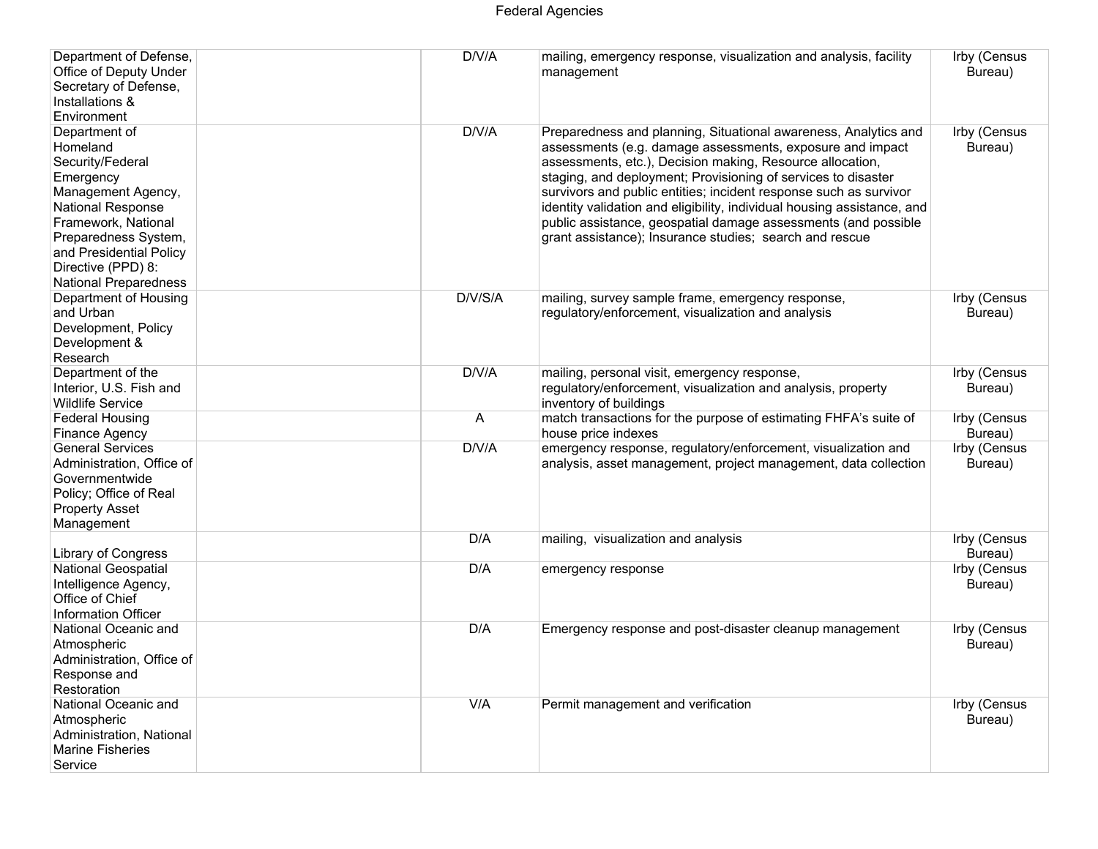# Federal Agencies

| Department of Defense,<br>Office of Deputy Under<br>Secretary of Defense,<br>Installations &<br>Environment                                                                                                                           | D/V/A   | mailing, emergency response, visualization and analysis, facility<br>management                                                                                                                                                                                                                                                                                                                                                                                                                                                         | Irby (Census<br>Bureau)        |
|---------------------------------------------------------------------------------------------------------------------------------------------------------------------------------------------------------------------------------------|---------|-----------------------------------------------------------------------------------------------------------------------------------------------------------------------------------------------------------------------------------------------------------------------------------------------------------------------------------------------------------------------------------------------------------------------------------------------------------------------------------------------------------------------------------------|--------------------------------|
| Department of<br>Homeland<br>Security/Federal<br>Emergency<br>Management Agency,<br>National Response<br>Framework, National<br>Preparedness System,<br>and Presidential Policy<br>Directive (PPD) 8:<br><b>National Preparedness</b> | D/V/A   | Preparedness and planning, Situational awareness, Analytics and<br>assessments (e.g. damage assessments, exposure and impact<br>assessments, etc.), Decision making, Resource allocation,<br>staging, and deployment; Provisioning of services to disaster<br>survivors and public entities; incident response such as survivor<br>identity validation and eligibility, individual housing assistance, and<br>public assistance, geospatial damage assessments (and possible<br>grant assistance); Insurance studies; search and rescue | Irby (Census<br>Bureau)        |
| Department of Housing<br>and Urban<br>Development, Policy<br>Development &<br>Research                                                                                                                                                | D/V/S/A | mailing, survey sample frame, emergency response,<br>regulatory/enforcement, visualization and analysis                                                                                                                                                                                                                                                                                                                                                                                                                                 | Irby (Census<br>Bureau)        |
| Department of the<br>Interior, U.S. Fish and<br><b>Wildlife Service</b>                                                                                                                                                               | D/V/A   | mailing, personal visit, emergency response,<br>regulatory/enforcement, visualization and analysis, property<br>inventory of buildings                                                                                                                                                                                                                                                                                                                                                                                                  | Irby (Census<br>Bureau)        |
| <b>Federal Housing</b><br>Finance Agency                                                                                                                                                                                              | A       | match transactions for the purpose of estimating FHFA's suite of<br>house price indexes                                                                                                                                                                                                                                                                                                                                                                                                                                                 | Irby (Census<br>Bureau)        |
| <b>General Services</b><br>Administration, Office of<br>Governmentwide<br>Policy; Office of Real<br><b>Property Asset</b><br>Management                                                                                               | D/V/A   | emergency response, regulatory/enforcement, visualization and<br>analysis, asset management, project management, data collection                                                                                                                                                                                                                                                                                                                                                                                                        | <b>Irby (Census</b><br>Bureau) |
| <b>Library of Congress</b>                                                                                                                                                                                                            | D/A     | mailing, visualization and analysis                                                                                                                                                                                                                                                                                                                                                                                                                                                                                                     | Irby (Census<br>Bureau)        |
| <b>National Geospatial</b><br>Intelligence Agency,<br>Office of Chief<br>Information Officer                                                                                                                                          | D/A     | emergency response                                                                                                                                                                                                                                                                                                                                                                                                                                                                                                                      | Irby (Census<br>Bureau)        |
| National Oceanic and<br>Atmospheric<br>Administration, Office of<br>Response and<br>Restoration                                                                                                                                       | D/A     | Emergency response and post-disaster cleanup management                                                                                                                                                                                                                                                                                                                                                                                                                                                                                 | <b>Irby (Census</b><br>Bureau) |
| National Oceanic and<br>Atmospheric<br>Administration, National<br>Marine Fisheries<br>Service                                                                                                                                        | V/A     | Permit management and verification                                                                                                                                                                                                                                                                                                                                                                                                                                                                                                      | <b>Irby (Census</b><br>Bureau) |